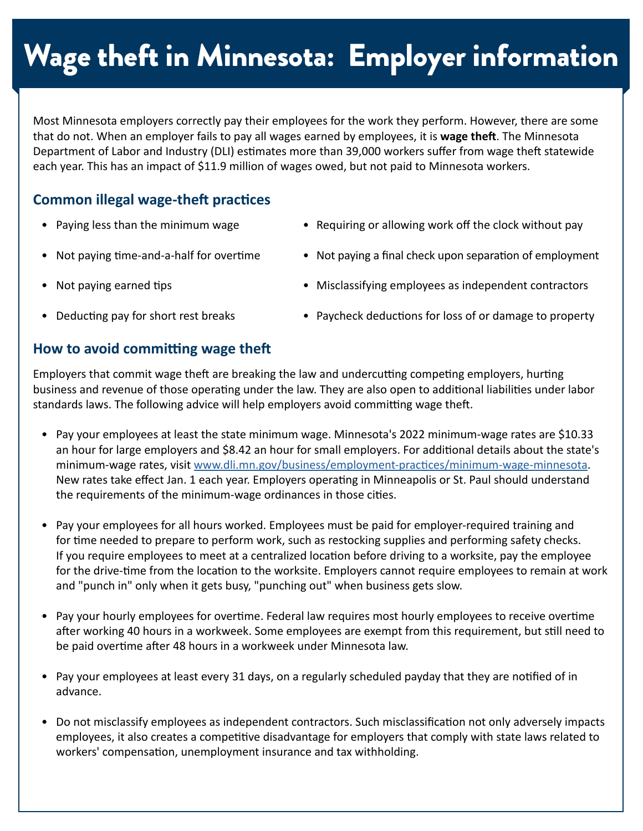# Wage theft in Minnesota: Employer information

Most Minnesota employers correctly pay their employees for the work they perform. However, there are some that do not. When an employer fails to pay all wages earned by employees, it is **wage theft**. The Minnesota Department of Labor and Industry (DLI) estimates more than 39,000 workers suffer from wage theft statewide each year. This has an impact of \$11.9 million of wages owed, but not paid to Minnesota workers.

## **Common illegal wage-theft practices**

- Paying less than the minimum wage Requiring or allowing work off the clock without pay
- Not paying time-and-a-half for overtime Not paying a final check upon separation of employment
- 

- 
- Not paying earned tips  **Misclassifying employees as independent contractors**
- 
- Deducting pay for short rest breaks Paycheck deductions for loss of or damage to property

### **How to avoid committing wage theft**

Employers that commit wage theft are breaking the law and undercutting competing employers, hurting business and revenue of those operating under the law. They are also open to additional liabilities under labor standards laws. The following advice will help employers avoid committing wage theft.

- Pay your employees at least the state minimum wage. Minnesota's 2022 minimum-wage rates are \$10.33 an hour for large employers and \$8.42 an hour for small employers. For additional details about the state's minimum-wage rates, visit [www.dli.mn.gov/business/employment-practices/minimum-wage-minnesota](http://www.dli.mn.gov/business/employment-practices/minimum-wage-minnesota). New rates take effect Jan. 1 each year. Employers operating in Minneapolis or St. Paul should understand the requirements of the minimum-wage ordinances in those cities.
- Pay your employees for all hours worked. Employees must be paid for employer-required training and for time needed to prepare to perform work, such as restocking supplies and performing safety checks. If you require employees to meet at a centralized location before driving to a worksite, pay the employee for the drive-time from the location to the worksite. Employers cannot require employees to remain at work and "punch in" only when it gets busy, "punching out" when business gets slow.
- Pay your hourly employees for overtime. Federal law requires most hourly employees to receive overtime after working 40 hours in a workweek. Some employees are exempt from this requirement, but still need to be paid overtime after 48 hours in a workweek under Minnesota law.
- Pay your employees at least every 31 days, on a regularly scheduled payday that they are notified of in advance.
- Do not misclassify employees as independent contractors. Such misclassification not only adversely impacts employees, it also creates a competitive disadvantage for employers that comply with state laws related to workers' compensation, unemployment insurance and tax withholding.